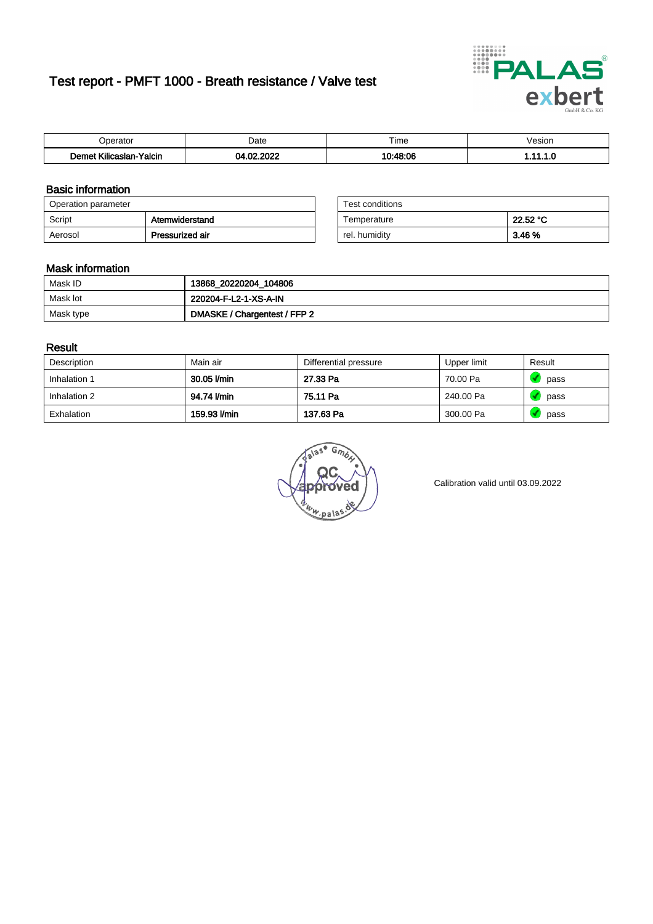# Test report - PMFT 1000 - Breath resistance / Valve test



| n<br>aw                                                                   | Date           | $- \cdot$<br>l ime | esion/ |
|---------------------------------------------------------------------------|----------------|--------------------|--------|
| <b>ALLE</b><br>1000 <sub>1</sub><br>Yalcin<br>aslan<br>KIIIC <sup>2</sup> | 000<br>~~<br>ν | 10.10.0c           | .      |

### Basic information

| Operation parameter |                 | Test conditions |          |
|---------------------|-----------------|-----------------|----------|
| Script              | Atemwiderstand  | Temperature     | 22.52 °C |
| Aerosol             | Pressurized air | rel. humidity   | 3.46 %   |

| Test conditions |          |
|-----------------|----------|
| Temperature     | 22.52 °C |
| rel. humidity   | 3.46 %   |

#### Mask information

| Mask ID   | 13868_20220204_104806        |
|-----------|------------------------------|
| Mask lot  | 220204-F-L2-1-XS-A-IN        |
| Mask type | DMASKE / Chargentest / FFP 2 |

### Result

| Description  | Main air     | Differential pressure | Upper limit | Result |
|--------------|--------------|-----------------------|-------------|--------|
| Inhalation 1 | 30.05 l/min  | 27.33 Pa              | 70.00 Pa    | pass   |
| Inhalation 2 | 94.74 I/min  | 75.11 Pa              | 240.00 Pa   | pass   |
| Exhalation   | 159.93 l/min | 137.63 Pa             | 300.00 Pa   | pass   |

 $u_{\mu,pal}$ 

Calibration valid until 03.09.2022